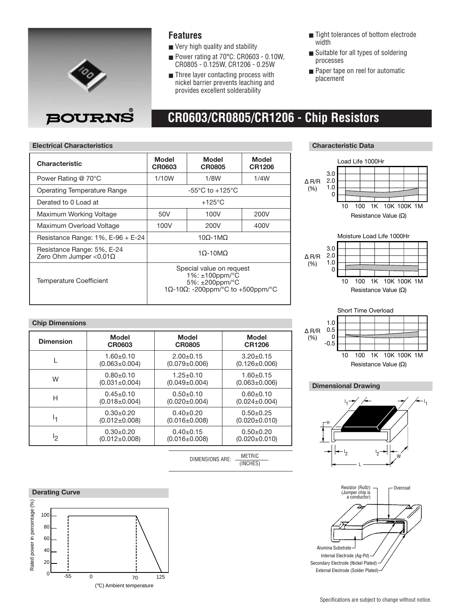

### **Features**

- Very high quality and stability
- Power rating at 70°C: CR0603 0.10W, CR0805 - 0.125W, CR1206 - 0.25W
- Three layer contacting process with nickel barrier prevents leaching and provides excellent solderability
- Tight tolerances of bottom electrode width
- Suitable for all types of soldering processes
- Paper tape on reel for automatic placement

### **Electrical Characteristics Characteristic Data**

| <b>Characteristic</b>                                        | Model<br>CR0603                                                                                                   | Model<br><b>CR0805</b> | Model<br><b>CR1206</b> |  |  |  |
|--------------------------------------------------------------|-------------------------------------------------------------------------------------------------------------------|------------------------|------------------------|--|--|--|
| Power Rating @ 70°C                                          | 1/10W                                                                                                             | 1/8W                   | 1/4W                   |  |  |  |
| <b>Operating Temperature Range</b>                           | -55 $^{\circ}$ C to +125 $^{\circ}$ C                                                                             |                        |                        |  |  |  |
| Derated to 0 Load at                                         |                                                                                                                   | $+125^{\circ}$ C       |                        |  |  |  |
| Maximum Working Voltage                                      | 50V                                                                                                               | 100V                   | 200V                   |  |  |  |
| Maximum Overload Voltage                                     | 100V                                                                                                              | 400V                   |                        |  |  |  |
| Resistance Range: $1\%$ , E-96 + E-24                        | $10\Omega - 1 \text{M}\Omega$                                                                                     |                        |                        |  |  |  |
| Resistance Range: 5%, E-24<br>Zero Ohm Jumper < $0.01\Omega$ | $10-10MQ$                                                                                                         |                        |                        |  |  |  |
| Temperature Coefficient                                      | Special value on request<br>$1\%: \pm 100$ ppm/ $\degree$ C<br>5%: ±200ppm/°C<br>1Ω-10Ω: -200ppm/°C to +500ppm/°C |                        |                        |  |  |  |

#### **Chip Dimensions**

| <b>Model</b>        | Model               | <b>Model</b>        |  |  |
|---------------------|---------------------|---------------------|--|--|
| CR0603              | <b>CR0805</b>       | <b>CR1206</b>       |  |  |
| $1.60 + 0.10$       | $2.00+0.15$         | $3.20 \pm 0.15$     |  |  |
| $(0.063 \pm 0.004)$ | $(0.079 \pm 0.006)$ | $(0.126 \pm 0.006)$ |  |  |
| $0.80 + 0.10$       | $1.25 \pm 0.10$     | $1.60 + 0.15$       |  |  |
| $(0.031 \pm 0.004)$ | $(0.049 \pm 0.004)$ | $(0.063 \pm 0.006)$ |  |  |
| $0.45 \pm 0.10$     | $0.50+0.10$         | $0.60 + 0.10$       |  |  |
| $(0.018 \pm 0.004)$ | $(0.020 \pm 0.004)$ | $(0.024 \pm 0.004)$ |  |  |
| $0.30+0.20$         | $0.40+0.20$         | $0.50+0.25$         |  |  |
| $(0.012 \pm 0.008)$ | $(0.016 \pm 0.008)$ | $(0.020 \pm 0.010)$ |  |  |
| $0.30+0.20$         | $0.40+0.15$         | $0.50+0.20$         |  |  |
| $(0.012 \pm 0.008)$ | $(0.016 \pm 0.008)$ | $(0.020 \pm 0.010)$ |  |  |
|                     |                     |                     |  |  |

DIMENSIONS ARE: METRIC (INCHES)



## **CR0603/CR0805/CR1206 - Chip Resistors**





### **Dimensional Drawing**



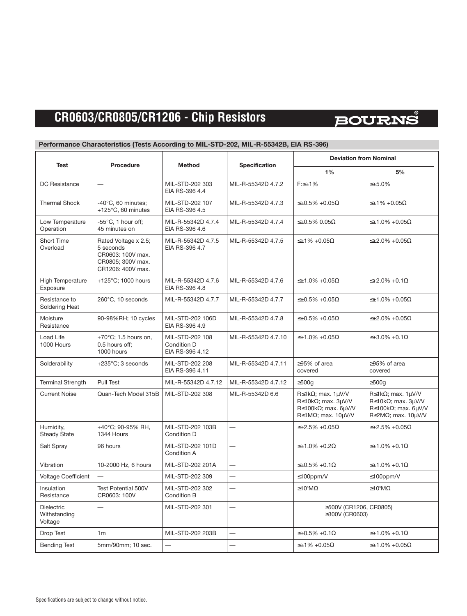### **CR0603/CR0805/CR1206 - Chip Resistors**

# **BOURNS**

### **Performance Characteristics (Tests According to MIL-STD-202, MIL-R-55342B, EIA RS-396)**

| Test                                         | Procedure                                                                                        | <b>Method</b>                                     | Specification            | <b>Deviation from Nominal</b>                                                                                                                          |                                                                                                                                           |  |  |
|----------------------------------------------|--------------------------------------------------------------------------------------------------|---------------------------------------------------|--------------------------|--------------------------------------------------------------------------------------------------------------------------------------------------------|-------------------------------------------------------------------------------------------------------------------------------------------|--|--|
|                                              |                                                                                                  |                                                   |                          | 1%                                                                                                                                                     | 5%                                                                                                                                        |  |  |
| <b>DC</b> Resistance                         |                                                                                                  | MIL-STD-202 303<br>EIA RS-396 4.4                 | MIL-R-55342D 4.7.2       | $F:\leq\pm1\%$                                                                                                                                         | $\leq \pm 5.0\%$                                                                                                                          |  |  |
| <b>Thermal Shock</b>                         | $-40^{\circ}$ C, 60 minutes;<br>+125°C, 60 minutes                                               | MIL-STD-202 107<br>EIA RS-396 4.5                 | MIL-R-55342D 4.7.3       | $\leq \pm 0.5\% + 0.05\Omega$                                                                                                                          | $\leq \pm 1\% + 0.05\Omega$                                                                                                               |  |  |
| Low Temperature<br>Operation                 | $-55^{\circ}$ C, 1 hour off;<br>45 minutes on                                                    | MIL-R-55342D 4.7.4<br>EIA RS-396 4.6              | MIL-R-55342D 4.7.4       | $\leq \pm 0.5\%$ 0.05 $\Omega$                                                                                                                         | $\leq \pm 1.0\% + 0.05\Omega$                                                                                                             |  |  |
| Short Time<br>Overload                       | Rated Voltage x 2.5;<br>5 seconds<br>CR0603: 100V max.<br>CR0805; 300V max.<br>CR1206: 400V max. | MIL-R-55342D 4.7.5<br>EIA RS-396 4.7              | MIL-R-55342D 4.7.5       | $\leq \pm 1\% + 0.05\Omega$                                                                                                                            | $\leq \pm 2.0\% + 0.05\Omega$                                                                                                             |  |  |
| <b>High Temperature</b><br>Exposure          | +125°C; 1000 hours                                                                               | MIL-R-55342D 4.7.6<br>EIA RS-396 4.8              | MIL-R-55342D 4.7.6       | $\leq \pm 1.0\% + 0.05\Omega$                                                                                                                          | $≤+2.0% +0.1Ω$                                                                                                                            |  |  |
| Resistance to<br>Soldering Heat              | 260°C, 10 seconds                                                                                | MIL-R-55342D 4.7.7                                | MIL-R-55342D 4.7.7       | $\leq \pm 0.5\% + 0.05\Omega$                                                                                                                          | $\leq \pm 1.0\% + 0.05\Omega$                                                                                                             |  |  |
| Moisture<br>Resistance                       | 90-98%RH; 10 cycles                                                                              | MIL-STD-202 106D<br>EIA RS-396 4.9                | MIL-R-55342D 4.7.8       | $\leq \pm 0.5\% + 0.05\Omega$                                                                                                                          | $\leq \pm 2.0\% + 0.05\Omega$                                                                                                             |  |  |
| Load Life<br>1000 Hours                      | +70 $^{\circ}$ C; 1.5 hours on,<br>0.5 hours off;<br>1000 hours                                  | MIL-STD-202 108<br>Condition D<br>EIA RS-396 4.12 | MIL-R-55342D 4.7.10      | $\leq \pm 1.0\% + 0.05\Omega$                                                                                                                          | $\leq \pm 3.0\% + 0.1\Omega$                                                                                                              |  |  |
| Solderability                                | $+235^{\circ}$ C; 3 seconds                                                                      | MIL-STD-202 208<br>EIA RS-396 4.11                | MIL-R-55342D 4.7.11      | $\geq$ 95% of area<br>covered                                                                                                                          | $\geq$ 95% of area<br>covered                                                                                                             |  |  |
| <b>Terminal Strength</b>                     | Pull Test                                                                                        | MIL-R-55342D 4.7.12                               | MIL-R-55342D 4.7.12      | $\geq$ 500q                                                                                                                                            | $\geq$ 500q                                                                                                                               |  |  |
| <b>Current Noise</b>                         | Quan-Tech Model 315B                                                                             | MIL-STD-202 308                                   | MIL-R-55342D 6.6         | $R \leq 1k\Omega$ ; max. $1\mu V/V$<br>R $\leq$ 10k $\Omega$ ; max. 3uV/V<br>R $\leq$ 100k $\Omega$ ; max. 6uV/V<br>R $\leq$ 1M $\Omega$ ; max. 10µV/V | $R \leq 1k\Omega$ ; max. $1\mu V/V$<br>$R \le 10k\Omega$ ; max. $3\mu V/V$<br>$R \le 100kΩ$ ; max. 6μV/V<br>$R\leq2M\Omega$ ; max. 10µV/V |  |  |
| Humidity,<br><b>Steady State</b>             | +40°C; 90-95% RH,<br>1344 Hours                                                                  | MIL-STD-202 103B<br>Condition D                   | $\overline{\phantom{0}}$ | $\leq \pm 2.5\% + 0.05\Omega$                                                                                                                          | $\leq \pm 2.5\% + 0.05\Omega$                                                                                                             |  |  |
| Salt Spray                                   | 96 hours                                                                                         | MIL-STD-202 101D<br>Condition A                   |                          | $\leq \pm 1.0\% + 0.2\Omega$                                                                                                                           | $\leq \pm 1.0\% + 0.1\Omega$                                                                                                              |  |  |
| Vibration                                    | 10-2000 Hz, 6 hours                                                                              | MIL-STD-202 201A                                  | $\overline{\phantom{0}}$ | $\leq \pm 0.5\% + 0.1\Omega$                                                                                                                           | $\leq \pm 1.0\% + 0.1\Omega$                                                                                                              |  |  |
| <b>Voltage Coefficient</b>                   |                                                                                                  | MIL-STD-202 309                                   | $\overline{\phantom{0}}$ | $\leq 100$ ppm/V                                                                                                                                       | $\leq 100$ ppm/V                                                                                                                          |  |  |
| Insulation<br>Resistance                     | <b>Test Potential 500V</b><br>CR0603: 100V                                                       | MIL-STD-202 302<br>Condition B                    |                          | $≥10$ <sup>3</sup> MΩ                                                                                                                                  | $\geq 10^3 M\Omega$                                                                                                                       |  |  |
| <b>Dielectric</b><br>Withstanding<br>Voltage |                                                                                                  | MIL-STD-202 301                                   |                          | ≥500V (CR1206, CR0805)<br>≥300V (CR0603)                                                                                                               |                                                                                                                                           |  |  |
| Drop Test                                    | 1 <sub>m</sub>                                                                                   | MIL-STD-202 203B                                  |                          | $\leq \pm 0.5\% + 0.1\Omega$                                                                                                                           | $\leq \pm 1.0\% + 0.1\Omega$                                                                                                              |  |  |
| <b>Bending Test</b>                          | 5mm/90mm; 10 sec.                                                                                |                                                   |                          | $\leq \pm 1\% + 0.05\Omega$                                                                                                                            | $\leq \pm 1.0\% + 0.05\Omega$                                                                                                             |  |  |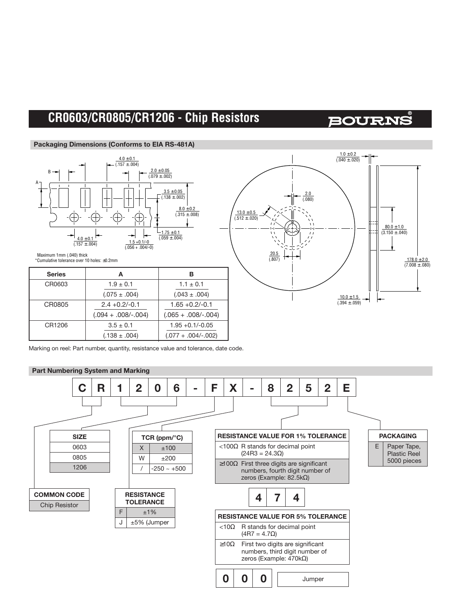### **CR0603/CR0805/CR1206 - Chip Resistors**

### **BOURNS**

#### **Packaging Dimensions (Conforms to EIA RS-481A)**





 Maximum 1mm (.040) thick \*Cumulative tolerance over 10 holes: ±0.2mm

| <b>Series</b> |                        | в                      |  |
|---------------|------------------------|------------------------|--|
| CR0603        | $1.9 \pm 0.1$          | $1.1 \pm 0.1$          |  |
|               | $(.075 \pm .004)$      | $(.043 \pm .004)$      |  |
| CR0805        | $2.4 + 0.2/-0.1$       | $1.65 + 0.2/-0.1$      |  |
|               | $(.094 + .008/- .004)$ | $(.065 + .008/- .004)$ |  |
| CR1206        | $3.5 \pm 0.1$          | $1.95 + 0.1/-0.05$     |  |
|               | $(.138 \pm .004)$      | $(.077 + .004/-.002)$  |  |

Marking on reel: Part number, quantity, resistance value and tolerance, date code.

#### **Part Numbering System and Marking**